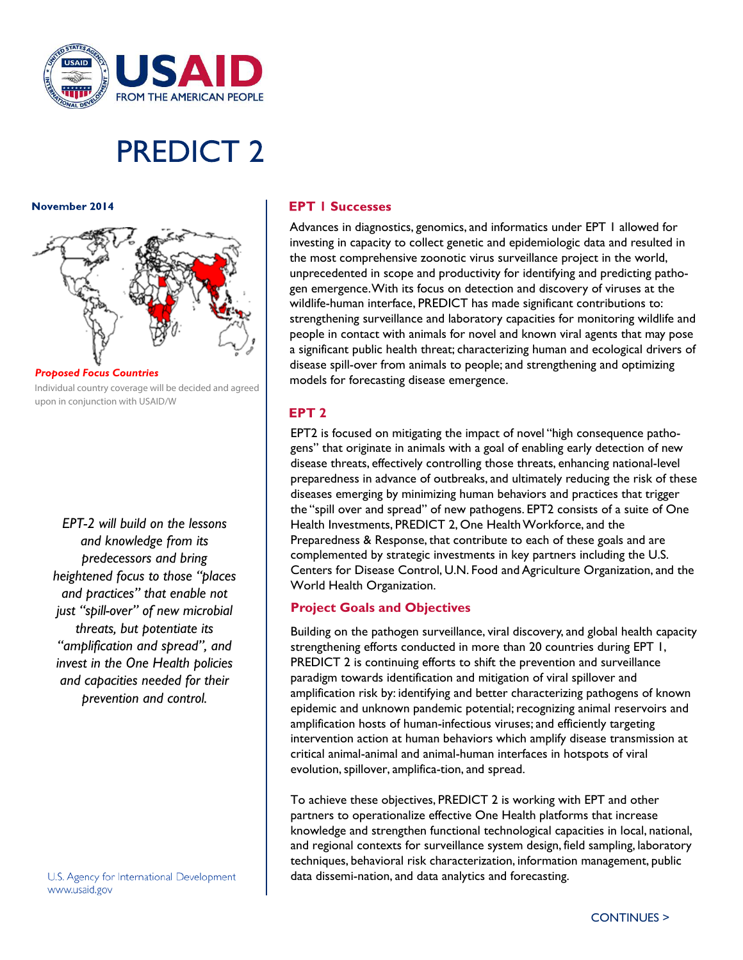

# **PREDICT 2**

November 2014



*Individual country coverage will be decided and agreed upon in conjunction with USAID/W*

*EPT-2 will build on the lessons and knowledge from its predecessors and bring heightened focus to those "places and practices" that enable not just "spill-over" of new microbial threats, but potentiate its "amplification and spread", and invest in the One Health policies and capacities needed for their prevention and control.*

U.S. Agency for International Development www.usaid.gov

## **EPT I Successes**

Advances in diagnostics, genomics, and informatics under EPT 1 allowed for investing in capacity to collect genetic and epidemiologic data and resulted in the most comprehensive zoonotic virus surveillance project in the world, unprecedented in scope and productivity for identifying and predicting pathogen emergence. With its focus on detection and discovery of viruses at the wildlife-human interface, PREDICT has made significant contributions to: strengthening surveillance and laboratory capacities for monitoring wildlife and people in contact with animals for novel and known viral agents that may pose a significant public health threat; characterizing human and ecological drivers of disease spill-over from animals to people; and strengthening and optimizing models for forecasting disease emergence.

#### **EPT 2**

EPT2 is focused on mitigating the impact of novel "high consequence pathogens" that originate in animals with a goal of enabling early detection of new disease threats, effectively controlling those threats, enhancing national-level preparedness in advance of outbreaks, and ultimately reducing the risk of these diseases emerging by minimizing human behaviors and practices that trigger the "spill over and spread" of new pathogens. EPT2 consists of a suite of One Health Investments, PREDICT 2, One Health Workforce, and the Preparedness & Response, that contribute to each of these goals and are complemented by strategic investments in key partners including the U.S. Centers for Disease Control, U.N. Food and Agriculture Organization, and the World Health Organization.

## **Project Goals and Objectives**

Building on the pathogen surveillance, viral discovery, and global health capacity strengthening efforts conducted in more than 20 countries during EPT 1, PREDICT 2 is continuing efforts to shift the prevention and surveillance paradigm towards identification and mitigation of viral spillover and amplification risk by: identifying and better characterizing pathogens of known epidemic and unknown pandemic potential; recognizing animal reservoirs and amplification hosts of human-infectious viruses; and efficiently targeting intervention action at human behaviors which amplify disease transmission at critical animal-animal and animal-human interfaces in hotspots of viral evolution, spillover, amplifica-tion, and spread.

To achieve these objectives, PREDICT 2 is working with EPT and other partners to operationalize effective One Health platforms that increase knowledge and strengthen functional technological capacities in local, national, and regional contexts for surveillance system design, field sampling, laboratory techniques, behavioral risk characterization, information management, public data dissemi-nation, and data analytics and forecasting.